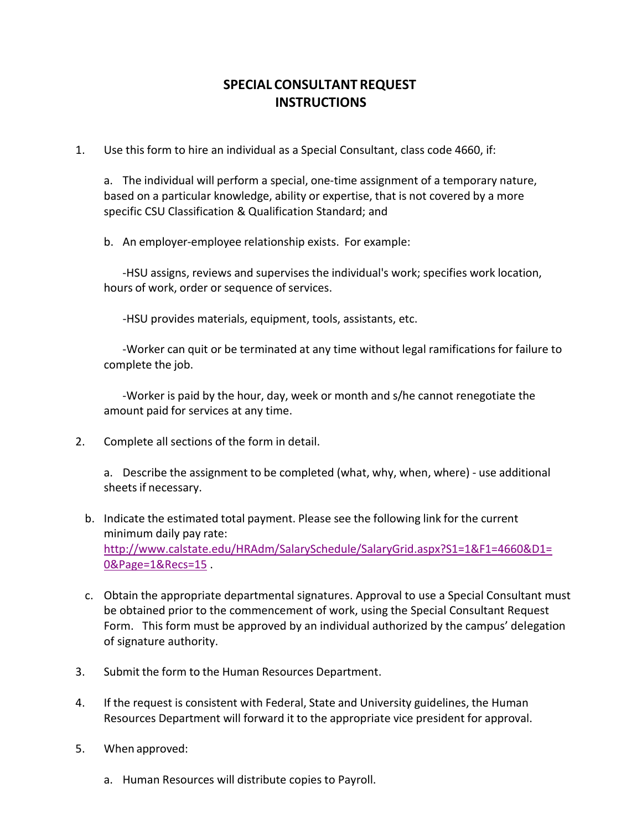## **SPECIAL CONSULTANT REQUEST INSTRUCTIONS**

1. Use this form to hire an individual as a Special Consultant, class code 4660, if:

a. The individual will perform a special, one-time assignment of a temporary nature, based on a particular knowledge, ability or expertise, that is not covered by a more specific CSU Classification & Qualification Standard; and

b. An employer-employee relationship exists. For example:

‐HSU assigns, reviews and supervises the individual's work; specifies work location, hours of work, order or sequence of services.

‐HSU provides materials, equipment, tools, assistants, etc.

‐Worker can quit or be terminated at any time without legal ramifications for failure to complete the job.

‐Worker is paid by the hour, day, week or month and s/he cannot renegotiate the amount paid for services at any time.

2. Complete all sections of the form in detail.

a. Describe the assignment to be completed (what, why, when, where) ‐ use additional sheets if necessary.

- b. Indicate the estimated total payment. Please see the following link for the current minimum daily pay rate: [http://www.calstate.edu/HRAdm/SalarySchedule/SalaryGrid.aspx?S1=1&F1=4660&D1=](http://www.calstate.edu/HRAdm/SalarySchedule/SalaryGrid.aspx?S1=1&F1=4660&D1=0&Page=1&Recs=15) [0&Page=1&Recs=15](http://www.calstate.edu/HRAdm/SalarySchedule/SalaryGrid.aspx?S1=1&F1=4660&D1=0&Page=1&Recs=15) .
- c. Obtain the appropriate departmental signatures. Approval to use a Special Consultant must be obtained prior to the commencement of work, using the Special Consultant Request Form. This form must be approved by an individual authorized by the campus' delegation of signature authority.
- 3. Submit the form to the Human Resources Department.
- 4. If the request is consistent with Federal, State and University guidelines, the Human Resources Department will forward it to the appropriate vice president for approval.
- 5. When approved:
	- a. Human Resources will distribute copies to Payroll.